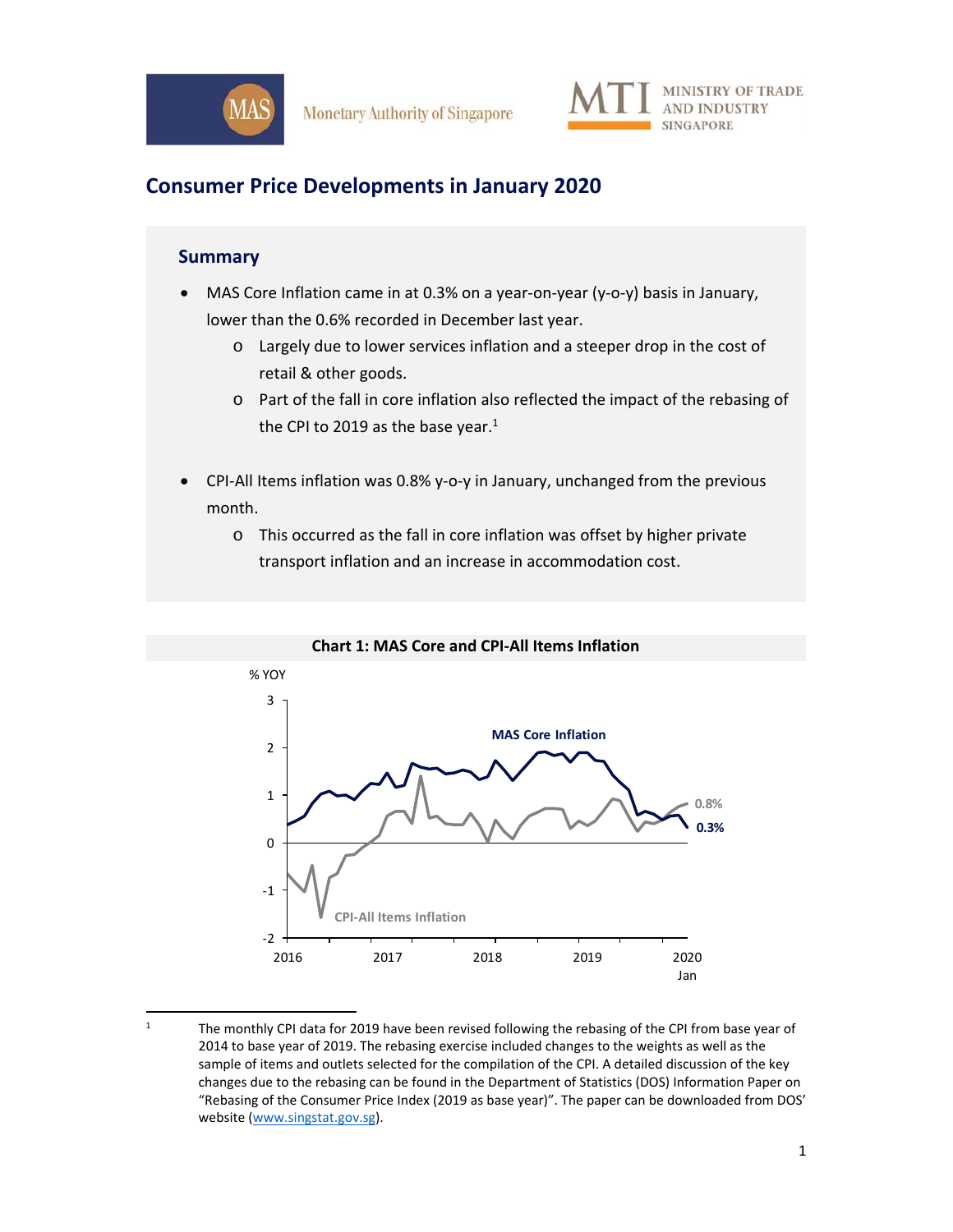



# **Consumer Price Developments in January 2020**

### **Summary**

- MAS Core Inflation came in at 0.3% on a year‐on‐year (y‐o‐y) basis in January, lower than the 0.6% recorded in December last year.
	- o Largely due to lower services inflation and a steeper drop in the cost of retail & other goods.
	- o Part of the fall in core inflation also reflected the impact of the rebasing of the CPI to 2019 as the base year. $1$
- CPI‐All Items inflation was 0.8% y‐o‐y in January, unchanged from the previous month.
	- o This occurred as the fall in core inflation was offset by higher private transport inflation and an increase in accommodation cost.



#### **Chart 1: MAS Core and CPI‐All Items Inflation**

<sup>1</sup> The monthly CPI data for 2019 have been revised following the rebasing of the CPI from base year of 2014 to base year of 2019. The rebasing exercise included changes to the weights as well as the sample of items and outlets selected for the compilation of the CPI. A detailed discussion of the key changes due to the rebasing can be found in the Department of Statistics (DOS) Information Paper on "Rebasing of the Consumer Price Index (2019 as base year)". The paper can be downloaded from DOS' website (www.singstat.gov.sg).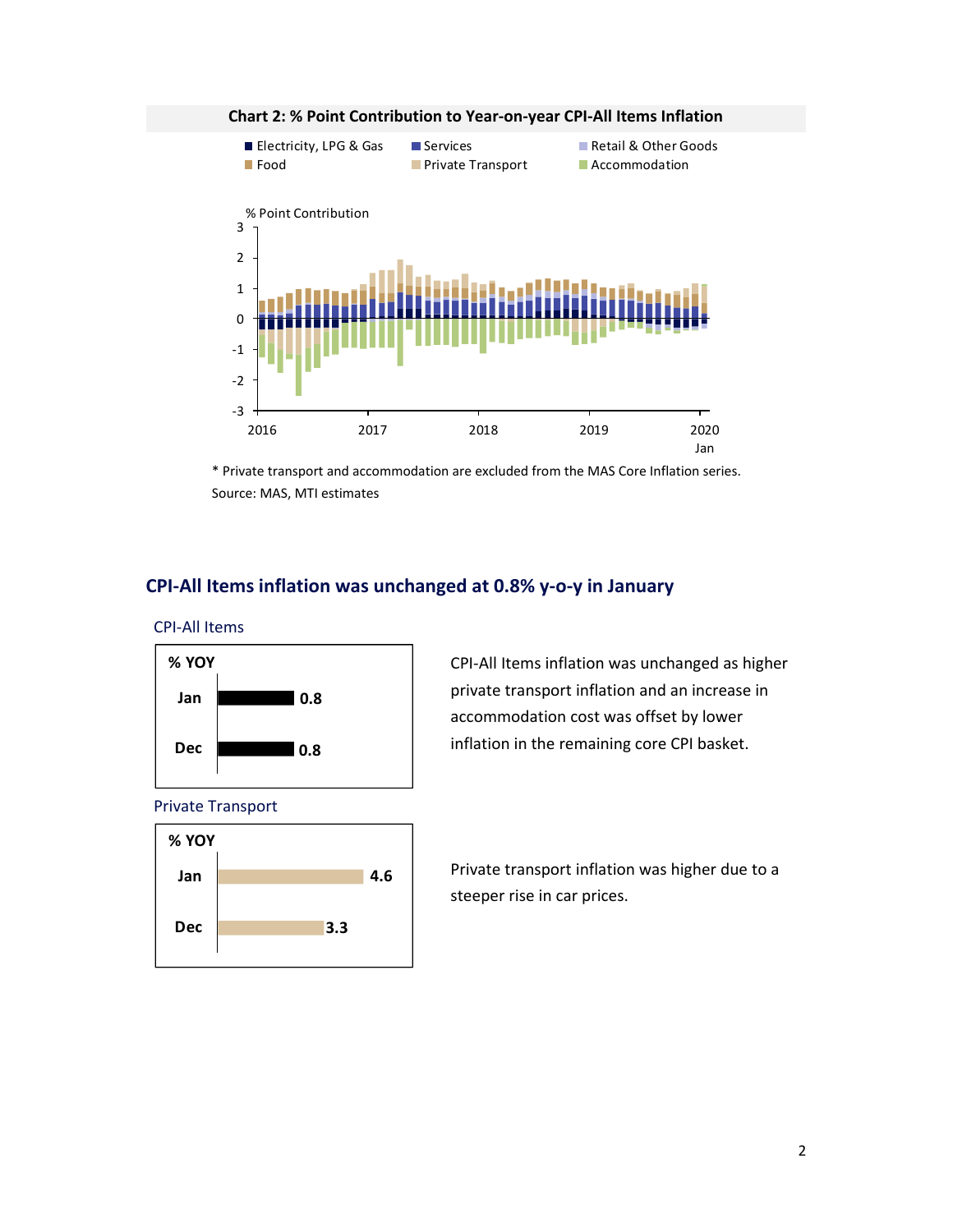

**Chart 2: % Point Contribution to Year‐on‐year CPI‐All Items Inflation** 

\* Private transport and accommodation are excluded from the MAS Core Inflation series. Source: MAS, MTI estimates

## **CPI‐All Items inflation was unchanged at 0.8% y‐o‐y in January**

CPI‐All Items



Private Transport



CPI‐All Items inflation was unchanged as higher private transport inflation and an increase in accommodation cost was offset by lower inflation in the remaining core CPI basket.

Private transport inflation was higher due to a steeper rise in car prices.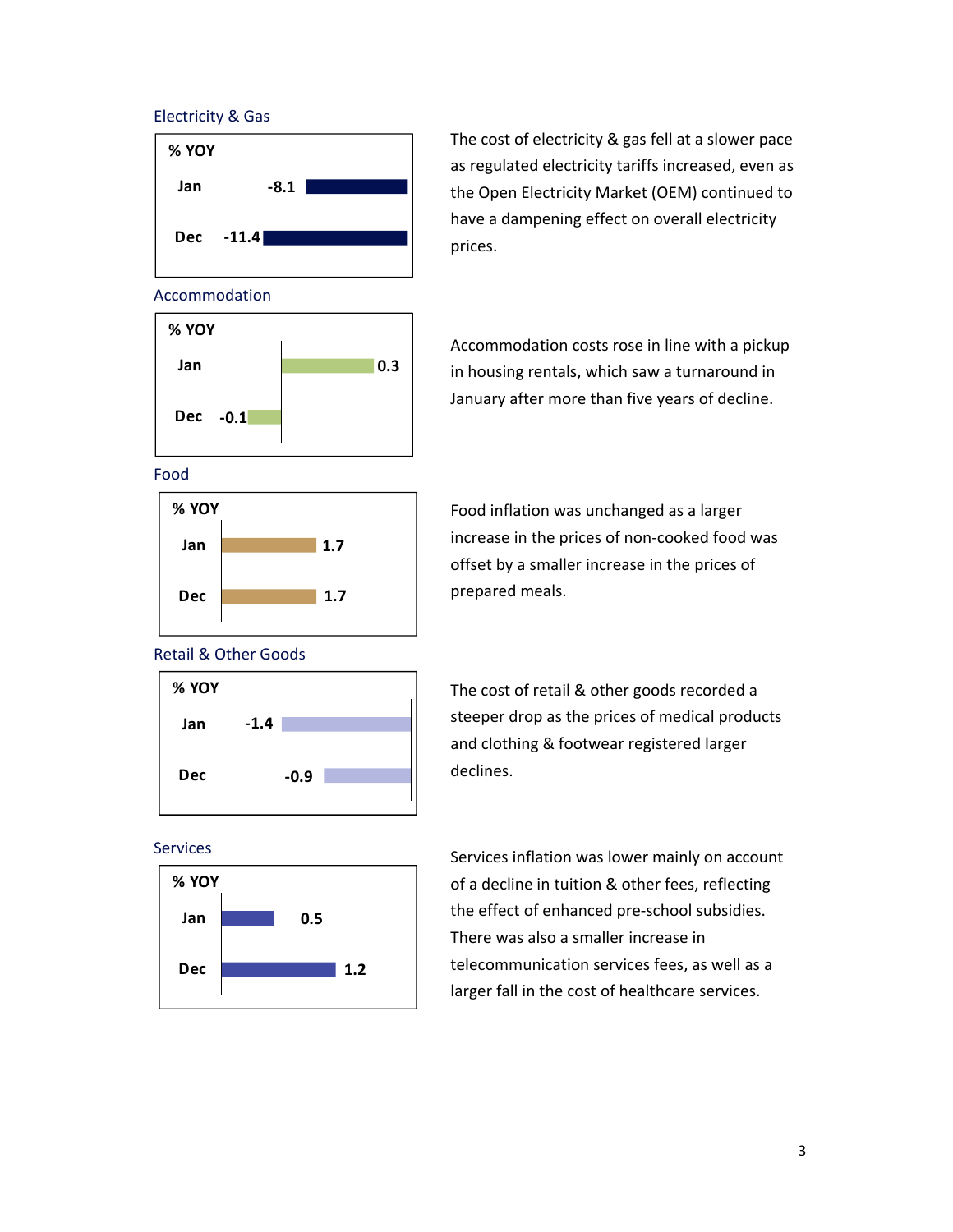### Electricity & Gas



The cost of electricity & gas fell at a slower pace as regulated electricity tariffs increased, even as the Open Electricity Market (OEM) continued to have a dampening effect on overall electricity prices.

#### Accommodation



Accommodation costs rose in line with a pickup in housing rentals, which saw a turnaround in January after more than five years of decline.

Food



Food inflation was unchanged as a larger increase in the prices of non‐cooked food was offset by a smaller increase in the prices of prepared meals.

#### Retail & Other Goods



Services



The cost of retail & other goods recorded a steeper drop as the prices of medical products and clothing & footwear registered larger declines.

Services inflation was lower mainly on account of a decline in tuition & other fees, reflecting the effect of enhanced pre‐school subsidies. There was also a smaller increase in telecommunication services fees, as well as a larger fall in the cost of healthcare services.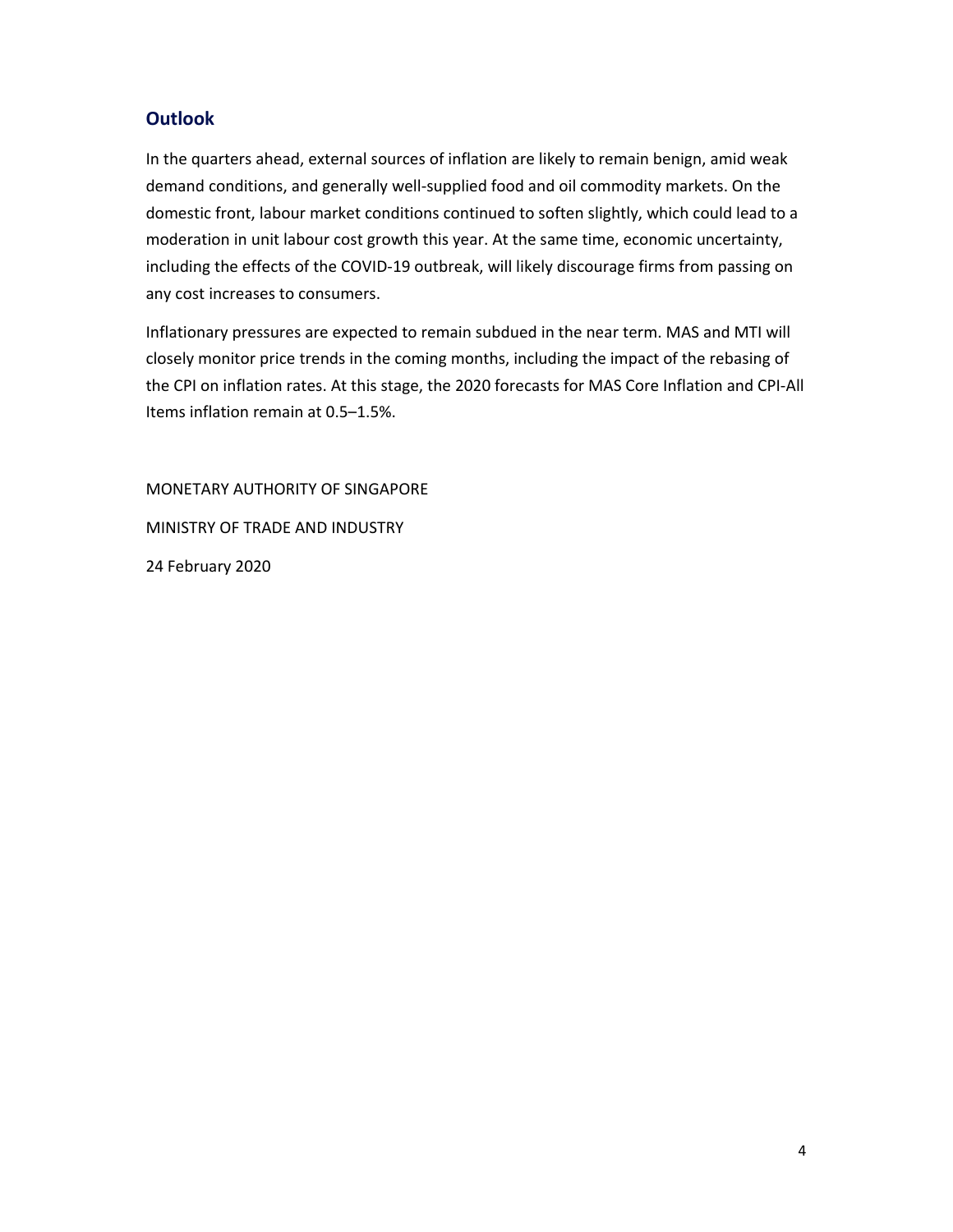# **Outlook**

In the quarters ahead, external sources of inflation are likely to remain benign, amid weak demand conditions, and generally well‐supplied food and oil commodity markets. On the domestic front, labour market conditions continued to soften slightly, which could lead to a moderation in unit labour cost growth this year. At the same time, economic uncertainty, including the effects of the COVID‐19 outbreak, will likely discourage firms from passing on any cost increases to consumers.

Inflationary pressures are expected to remain subdued in the near term. MAS and MTI will closely monitor price trends in the coming months, including the impact of the rebasing of the CPI on inflation rates. At this stage, the 2020 forecasts for MAS Core Inflation and CPI‐All Items inflation remain at 0.5–1.5%.

MONETARY AUTHORITY OF SINGAPORE MINISTRY OF TRADE AND INDUSTRY 24 February 2020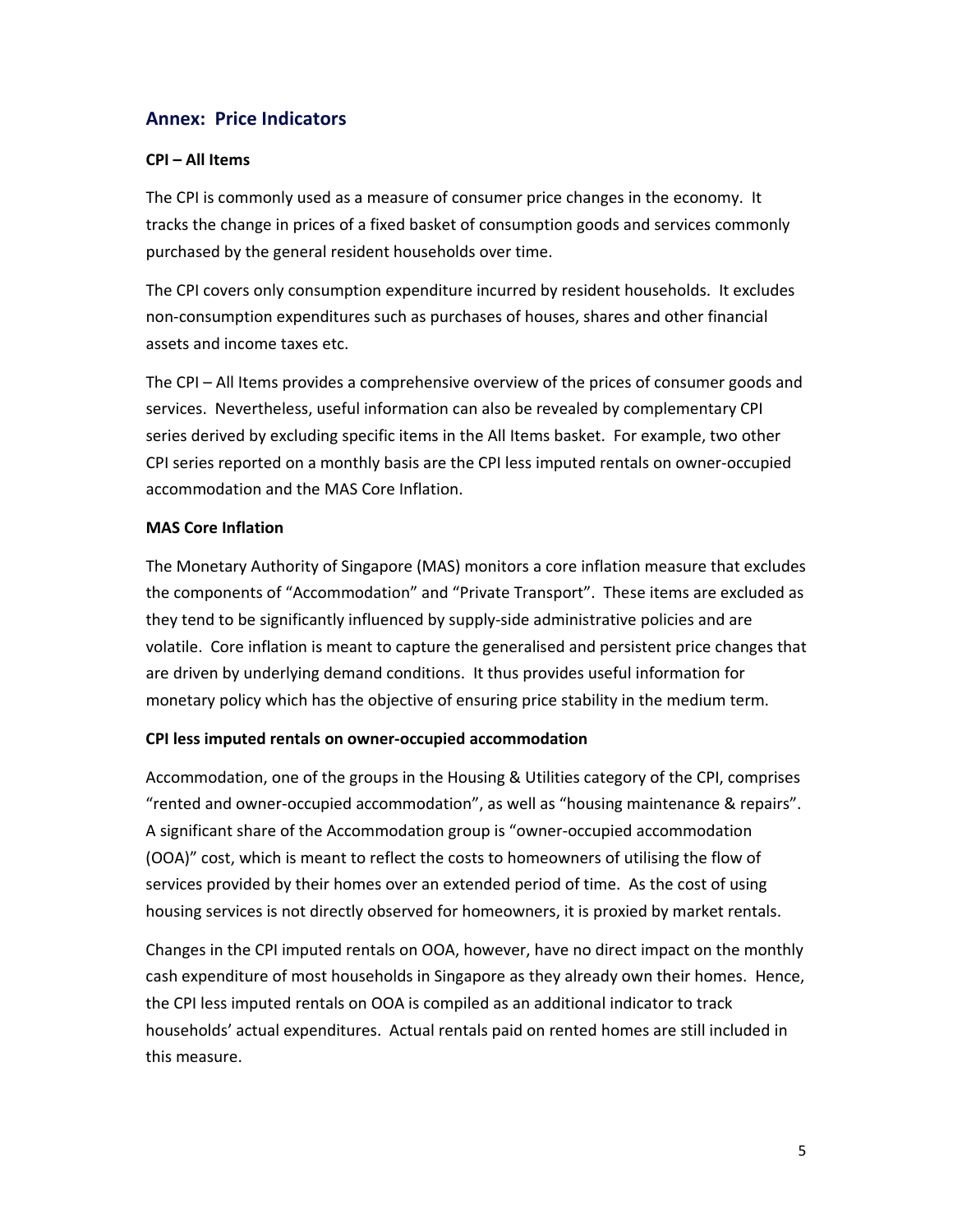# **Annex: Price Indicators**

### **CPI – All Items**

The CPI is commonly used as a measure of consumer price changes in the economy. It tracks the change in prices of a fixed basket of consumption goods and services commonly purchased by the general resident households over time.

The CPI covers only consumption expenditure incurred by resident households. It excludes non‐consumption expenditures such as purchases of houses, shares and other financial assets and income taxes etc.

The CPI – All Items provides a comprehensive overview of the prices of consumer goods and services. Nevertheless, useful information can also be revealed by complementary CPI series derived by excluding specific items in the All Items basket. For example, two other CPI series reported on a monthly basis are the CPI less imputed rentals on owner‐occupied accommodation and the MAS Core Inflation.

### **MAS Core Inflation**

The Monetary Authority of Singapore (MAS) monitors a core inflation measure that excludes the components of "Accommodation" and "Private Transport". These items are excluded as they tend to be significantly influenced by supply‐side administrative policies and are volatile. Core inflation is meant to capture the generalised and persistent price changes that are driven by underlying demand conditions. It thus provides useful information for monetary policy which has the objective of ensuring price stability in the medium term.

### **CPI less imputed rentals on owner‐occupied accommodation**

Accommodation, one of the groups in the Housing & Utilities category of the CPI, comprises "rented and owner‐occupied accommodation", as well as "housing maintenance & repairs". A significant share of the Accommodation group is "owner‐occupied accommodation (OOA)" cost, which is meant to reflect the costs to homeowners of utilising the flow of services provided by their homes over an extended period of time. As the cost of using housing services is not directly observed for homeowners, it is proxied by market rentals.

Changes in the CPI imputed rentals on OOA, however, have no direct impact on the monthly cash expenditure of most households in Singapore as they already own their homes. Hence, the CPI less imputed rentals on OOA is compiled as an additional indicator to track households' actual expenditures. Actual rentals paid on rented homes are still included in this measure.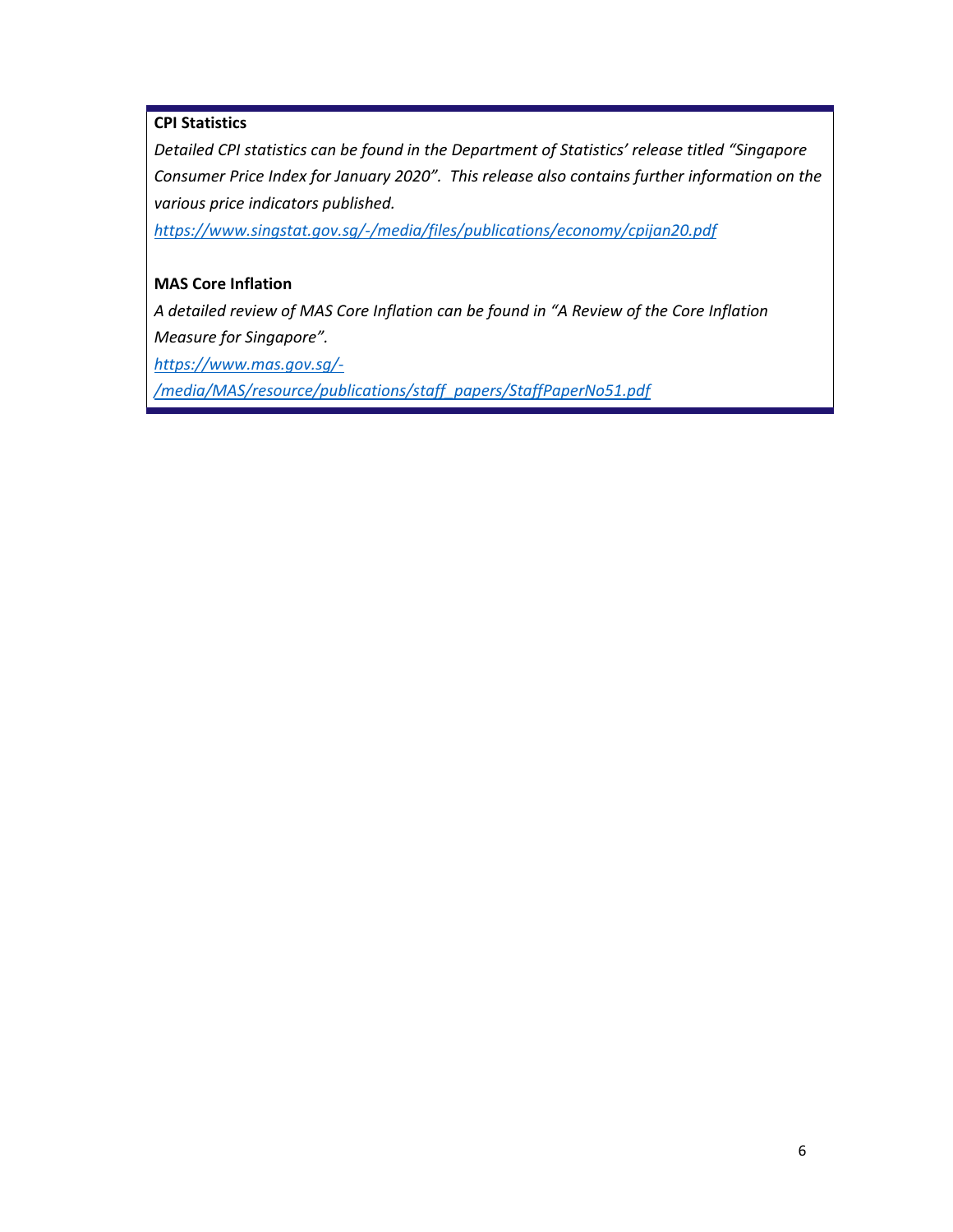### **CPI Statistics**

*Detailed CPI statistics can be found in the Department of Statistics' release titled "Singapore Consumer Price Index for January 2020". This release also contains further information on the various price indicators published.* 

*https://www.singstat.gov.sg/‐/media/files/publications/economy/cpijan20.pdf* 

### **MAS Core Inflation**

*A detailed review of MAS Core Inflation can be found in "A Review of the Core Inflation Measure for Singapore".* 

*https://www.mas.gov.sg/‐*

*/media/MAS/resource/publications/staff\_papers/StaffPaperNo51.pdf*